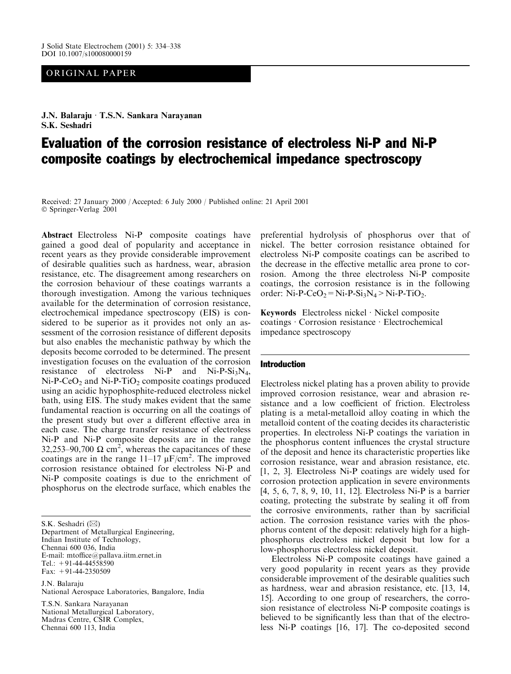## ORIGINAL PAPER

J.N. Balaraju · T.S.N. Sankara Narayanan S.K. Seshadri

# Evaluation of the corrosion resistance of electroless Ni-P and Ni-P composite coatings by electrochemical impedance spectroscopy

Received: 27 January 2000 / Accepted: 6 July 2000 / Published online: 21 April 2001 © Springer-Verlag 2001

Abstract Electroless Ni-P composite coatings have gained a good deal of popularity and acceptance in recent years as they provide considerable improvement of desirable qualities such as hardness, wear, abrasion resistance, etc. The disagreement among researchers on the corrosion behaviour of these coatings warrants a thorough investigation. Among the various techniques available for the determination of corrosion resistance, electrochemical impedance spectroscopy (EIS) is considered to be superior as it provides not only an assessment of the corrosion resistance of different deposits but also enables the mechanistic pathway by which the deposits become corroded to be determined. The present investigation focuses on the evaluation of the corrosion resistance of electroless  $Ni-P$  and  $Ni-P-Si<sub>3</sub>N<sub>4</sub>$ ,  $Ni-P-CeO<sub>2</sub>$  and  $Ni-P-TiO<sub>2</sub>$  composite coatings produced using an acidic hypophosphite-reduced electroless nickel bath, using EIS. The study makes evident that the same fundamental reaction is occurring on all the coatings of the present study but over a different effective area in each case. The charge transfer resistance of electroless Ni-P and Ni-P composite deposits are in the range 32,253–90,700  $\Omega$  cm<sup>2</sup>, whereas the capacitances of these coatings are in the range  $11-17 \mu$ F/cm<sup>2</sup>. The improved corrosion resistance obtained for electroless Ni-P and Ni-P composite coatings is due to the enrichment of phosphorus on the electrode surface, which enables the

S.K. Seshadri (⊠)

Department of Metallurgical Engineering, Indian Institute of Technology, Chennai 600 036, India E-mail: mtoffice@pallava.iitm.ernet.in Tel.:  $+91-44-44558590$ Fax:  $+91-44-2350509$ 

J.N. Balaraju National Aerospace Laboratories, Bangalore, India

T.S.N. Sankara Narayanan National Metallurgical Laboratory, Madras Centre, CSIR Complex, Chennai 600 113, India

preferential hydrolysis of phosphorus over that of nickel. The better corrosion resistance obtained for electroless Ni-P composite coatings can be ascribed to the decrease in the effective metallic area prone to corrosion. Among the three electroless Ni-P composite coatings, the corrosion resistance is in the following order: Ni-P-CeO<sub>2</sub> = Ni-P-Si<sub>3</sub>N<sub>4</sub> > Ni-P-TiO<sub>2</sub>.

Keywords Electroless nickel · Nickel composite coatings Corrosion resistance Electrochemical impedance spectroscopy

### **Introduction**

Electroless nickel plating has a proven ability to provide improved corrosion resistance, wear and abrasion resistance and a low coefficient of friction. Electroless plating is a metal-metalloid alloy coating in which the metalloid content of the coating decides its characteristic properties. In electroless Ni-P coatings the variation in the phosphorus content influences the crystal structure of the deposit and hence its characteristic properties like corrosion resistance, wear and abrasion resistance, etc. [1, 2, 3]. Electroless Ni-P coatings are widely used for corrosion protection application in severe environments [4, 5, 6, 7, 8, 9, 10, 11, 12]. Electroless Ni-P is a barrier coating, protecting the substrate by sealing it off from the corrosive environments, rather than by sacrificial action. The corrosion resistance varies with the phosphorus content of the deposit: relatively high for a highphosphorus electroless nickel deposit but low for a low-phosphorus electroless nickel deposit.

Electroless Ni-P composite coatings have gained a very good popularity in recent years as they provide considerable improvement of the desirable qualities such as hardness, wear and abrasion resistance, etc. [13, 14, 15]. According to one group of researchers, the corrosion resistance of electroless Ni-P composite coatings is believed to be significantly less than that of the electroless Ni-P coatings [16, 17]. The co-deposited second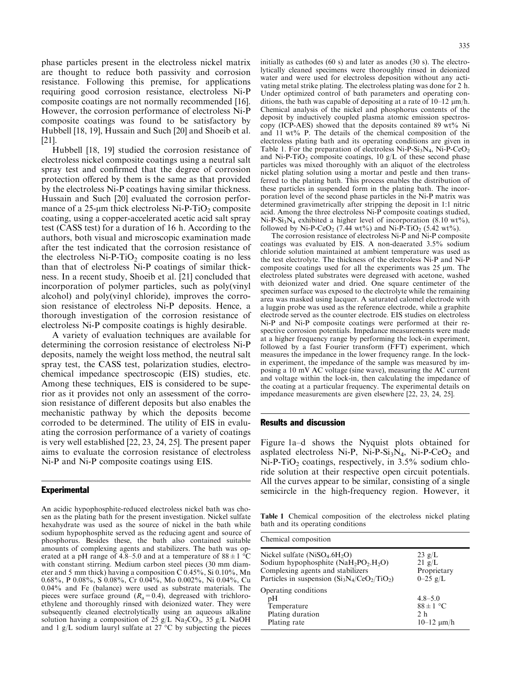phase particles present in the electroless nickel matrix are thought to reduce both passivity and corrosion resistance. Following this premise, for applications requiring good corrosion resistance, electroless Ni-P composite coatings are not normally recommended [16]. However, the corrosion performance of electroless Ni-P composite coatings was found to be satisfactory by Hubbell [18, 19], Hussain and Such [20] and Shoeib et al.  $[21]$ .

Hubbell [18, 19] studied the corrosion resistance of electroless nickel composite coatings using a neutral salt spray test and confirmed that the degree of corrosion protection offered by them is the same as that provided by the electroless Ni-P coatings having similar thickness. Hussain and Such [20] evaluated the corrosion performance of a  $25$ -um thick electroless Ni-P-TiO<sub>2</sub> composite coating, using a copper-accelerated acetic acid salt spray test (CASS test) for a duration of 16 h. According to the authors, both visual and microscopic examination made after the test indicated that the corrosion resistance of the electroless  $Ni-P-TiO<sub>2</sub>$  composite coating is no less than that of electroless Ni-P coatings of similar thickness. In a recent study, Shoeib et al. [21] concluded that incorporation of polymer particles, such as poly(vinyl alcohol) and poly(vinyl chloride), improves the corrosion resistance of electroless Ni-P deposits. Hence, a thorough investigation of the corrosion resistance of electroless Ni-P composite coatings is highly desirable.

A variety of evaluation techniques are available for determining the corrosion resistance of electroless Ni-P deposits, namely the weight loss method, the neutral salt spray test, the CASS test, polarization studies, electrochemical impedance spectroscopic (EIS) studies, etc. Among these techniques, EIS is considered to be superior as it provides not only an assessment of the corrosion resistance of different deposits but also enables the mechanistic pathway by which the deposits become corroded to be determined. The utility of EIS in evaluating the corrosion performance of a variety of coatings is very well established [22, 23, 24, 25]. The present paper aims to evaluate the corrosion resistance of electroless Ni-P and Ni-P composite coatings using EIS.

## **Experimental**

An acidic hypophosphite-reduced electroless nickel bath was chosen as the plating bath for the present investigation. Nickel sulfate hexahydrate was used as the source of nickel in the bath while sodium hypophosphite served as the reducing agent and source of phosphorus. Besides these, the bath also contained suitable amounts of complexing agents and stabilizers. The bath was operated at a pH range of 4.8–5.0 and at a temperature of  $88 \pm 1$  °C with constant stirring. Medium carbon steel pieces (30 mm diameter and 5 mm thick) having a composition C 0.45%, Si 0.10%, Mn 0.68%, P 0.08%, S 0.08%, Cr 0.04%, Mo 0.002%, Ni 0.04%, Cu  $0.04\%$  and Fe (balance) were used as substrate materials. The pieces were surface ground  $(R_a=0.4)$ , degreased with trichloroethylene and thoroughly rinsed with deionized water. They were subsequently cleaned electrolytically using an aqueous alkaline solution having a composition of 25 g/L Na<sub>2</sub>CO<sub>3</sub>, 35 g/L NaOH and 1 g/L sodium lauryl sulfate at 27 °C by subjecting the pieces initially as cathodes  $(60 s)$  and later as anodes  $(30 s)$ . The electrolytically cleaned specimens were thoroughly rinsed in deionized water and were used for electroless deposition without any activating metal strike plating. The electroless plating was done for 2 h. Under optimized control of bath parameters and operating conditions, the bath was capable of depositing at a rate of  $10-12 \mu m/h$ . Chemical analysis of the nickel and phosphorus contents of the deposit by inductively coupled plasma atomic emission spectroscopy (ICP-AES) showed that the deposits contained 89 wt% Ni and 11 wt% P. The details of the chemical composition of the electroless plating bath and its operating conditions are given in Table 1. For the preparation of electroless Ni-P-Si<sub>3</sub>N<sub>4</sub>, Ni-P-CeO<sub>2</sub> and Ni-P-TiO<sub>2</sub> composite coatings, 10  $g/L$  of these second phase particles was mixed thoroughly with an aliquot of the electroless nickel plating solution using a mortar and pestle and then transferred to the plating bath. This process enables the distribution of these particles in suspended form in the plating bath. The incorporation level of the second phase particles in the Ni-P matrix was determined gravimetrically after stripping the deposit in 1:1 nitric acid. Among the three electroless Ni-P composite coatings studied,  $Ni-P-Si<sub>3</sub>N<sub>4</sub>$  exhibited a higher level of incorporation (8.10 wt%), followed by Ni-P-CeO<sub>2</sub> (7.44 wt%) and Ni-P-TiO<sub>2</sub> (5.42 wt%).

The corrosion resistance of electroless Ni-P and Ni-P composite coatings was evaluated by EIS. A non-deaerated 3.5% sodium chloride solution maintained at ambient temperature was used as the test electrolyte. The thickness of the electroless Ni-P and Ni-P composite coatings used for all the experiments was  $25 \mu m$ . The electroless plated substrates were degreased with acetone, washed with deionized water and dried. One square centimeter of the specimen surface was exposed to the electrolyte while the remaining area was masked using lacquer. A saturated calomel electrode with a luggin probe was used as the reference electrode, while a graphite electrode served as the counter electrode. EIS studies on electroless Ni-P and Ni-P composite coatings were performed at their respective corrosion potentials. Impedance measurements were made at a higher frequency range by performing the lock-in experiment, followed by a fast Fourier transform (FFT) experiment, which measures the impedance in the lower frequency range. In the lockin experiment, the impedance of the sample was measured by imposing a 10 mV AC voltage (sine wave), measuring the AC current and voltage within the lock-in, then calculating the impedance of the coating at a particular frequency. The experimental details on impedance measurements are given elsewhere [22, 23, 24, 25].

## **Results and discussion**

Chamical composition

Figure 1a–d shows the Nyquist plots obtained for asplated electroless Ni-P, Ni-P-Si<sub>3</sub>N<sub>4</sub>, Ni-P-CeO<sub>2</sub> and  $Ni-P-TiO<sub>2</sub>$  coatings, respectively, in 3.5% sodium chloride solution at their respective open circuit potentials. All the curves appear to be similar, consisting of a single semicircle in the high-frequency region. However, it

Table 1 Chemical composition of the electroless nickel plating bath and its operating conditions

| Chemical composition                                                                                                                                                                                 |                                                                     |  |
|------------------------------------------------------------------------------------------------------------------------------------------------------------------------------------------------------|---------------------------------------------------------------------|--|
| Nickel sulfate $(NiSO_4.6H_2O)$<br>Sodium hypophosphite (NaH <sub>2</sub> PO <sub>2</sub> .H <sub>2</sub> O)<br>Complexing agents and stabilizers<br>Particles in suspension $(Si_3N_4/CeO_2/TiO_2)$ | $23 \text{ g/L}$<br>$21 \text{ g/L}$<br>Proprietary<br>$0 - 25$ g/L |  |
| Operating conditions<br>pН<br>Temperature<br>Plating duration<br>Plating rate                                                                                                                        | $4.8 - 5.0$<br>$88 \pm 1$ °C<br>2 <sub>h</sub><br>$10 - 12 \mu m/h$ |  |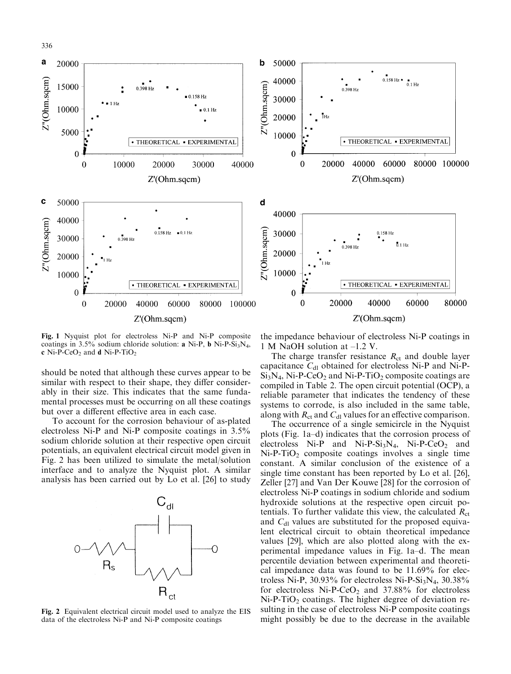

Fig. 1 Nyquist plot for electroless Ni-P and Ni-P composite coatings in  $3.5\%$  sodium chloride solution: a Ni-P, b Ni-P-Si<sub>3</sub>N<sub>4</sub>, c Ni-P-CeO<sub>2</sub> and d Ni-P-TiO<sub>2</sub>

should be noted that although these curves appear to be similar with respect to their shape, they differ considerably in their size. This indicates that the same fundamental processes must be occurring on all these coatings but over a different effective area in each case.

To account for the corrosion behaviour of as-plated electroless Ni-P and Ni-P composite coatings in 3.5% sodium chloride solution at their respective open circuit potentials, an equivalent electrical circuit model given in Fig. 2 has been utilized to simulate the metal/solution interface and to analyze the Nyquist plot. A similar analysis has been carried out by Lo et al. [26] to study



Fig. 2 Equivalent electrical circuit model used to analyze the EIS data of the electroless Ni-P and Ni-P composite coatings

the impedance behaviour of electroless Ni-P coatings in 1 M NaOH solution at  $-1.2$  V.

The charge transfer resistance  $R_{\rm ct}$  and double layer capacitance  $C_{d1}$  obtained for electroless Ni-P and Ni-P- $Si<sub>3</sub>N<sub>4</sub>$ , Ni-P-CeO<sub>2</sub> and Ni-P-TiO<sub>2</sub> composite coatings are compiled in Table 2. The open circuit potential (OCP), a reliable parameter that indicates the tendency of these systems to corrode, is also included in the same table, along with  $R_{ct}$  and  $C_{dl}$  values for an effective comparison.

The occurrence of a single semicircle in the Nyquist plots (Fig. 1a–d) indicates that the corrosion process of electroless Ni-P and Ni-P-Si<sub>3</sub>N<sub>4</sub>, Ni-P-CeO<sub>2</sub> and  $Ni-P-TiO<sub>2</sub>$  composite coatings involves a single time constant. A similar conclusion of the existence of a single time constant has been reported by Lo et al. [26], Zeller [27] and Van Der Kouwe [28] for the corrosion of electroless Ni-P coatings in sodium chloride and sodium hydroxide solutions at the respective open circuit potentials. To further validate this view, the calculated  $R_{\rm ct}$ and  $C_{d}$  values are substituted for the proposed equivalent electrical circuit to obtain theoretical impedance values [29], which are also plotted along with the experimental impedance values in Fig. 1a-d. The mean percentile deviation between experimental and theoretical impedance data was found to be 11.69% for electroless Ni-P, 30.93% for electroless Ni-P-Si<sub>3</sub>N<sub>4</sub>, 30.38% for electroless Ni-P-CeO<sub>2</sub> and  $37.88\%$  for electroless  $Ni-P-TiO<sub>2</sub>$  coatings. The higher degree of deviation resulting in the case of electroless Ni-P composite coatings might possibly be due to the decrease in the available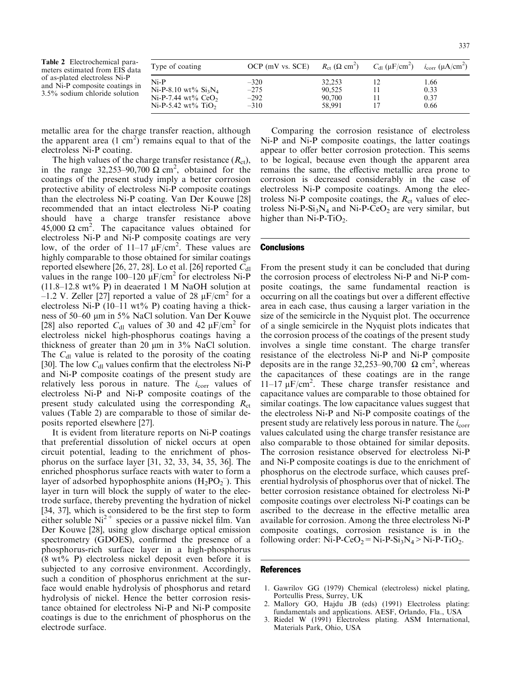Table 2 Electrochemical parameters estimated from EIS data of as-plated electroless Ni-P and Ni-P composite coatings in 3.5% sodium chloride solution

| Type of coating                | $OCP$ (mV vs. $SCE$ ) | $R_{\rm ct}$ ( $\Omega$ cm <sup>2</sup> ) | $C_{\text{dl}}$ (µF/cm <sup>2</sup> ) | $i_{corr}$ (µA/cm <sup>2</sup> ) |
|--------------------------------|-----------------------|-------------------------------------------|---------------------------------------|----------------------------------|
| $Ni-P$                         | $-320$                | 32,253                                    | 12                                    | 1.66                             |
| Ni-P-8.10 wt% $Si_3N_4$        | $-275$                | 90.525                                    |                                       | 0.33                             |
| Ni-P-7.44 wt% $CeO2$           | $-292$                | 90,700                                    |                                       | 0.37                             |
| Ni-P-5.42 wt% TiO <sub>2</sub> | $-310$                | 58.991                                    |                                       | 0.66                             |

metallic area for the charge transfer reaction, although the apparent area  $(1 \text{ cm}^2)$  remains equal to that of the electroless Ni-P coating.

The high values of the charge transfer resistance  $(R_{\rm ct})$ , in the range 32,253–90,700  $\Omega$  cm<sup>2</sup>, obtained for the coatings of the present study imply a better corrosion protective ability of electroless Ni-P composite coatings than the electroless Ni-P coating. Van Der Kouwe [28] recommended that an intact electroless Ni-P coating should have a charge transfer resistance above 45,000  $\Omega$  cm<sup>2</sup>. The capacitance values obtained for electroless Ni-P and Ni-P composite coatings are very low, of the order of  $11-17 \mu$ F/cm<sup>2</sup>. These values are highly comparable to those obtained for similar coatings reported elsewhere [26, 27, 28]. Lo et al. [26] reported  $C_{d1}$ values in the range 100–120  $\mu$ F/cm<sup>2</sup> for electroless Ni-P  $(11.8-12.8 \text{ wt\% P})$  in deaerated 1 M NaOH solution at  $-1.2$  V. Zeller [27] reported a value of 28  $\mu$ F/cm<sup>2</sup> for a electroless Ni-P  $(10-11 \text{ wt\% P})$  coating having a thickness of 50–60 µm in 5% NaCl solution. Van Der Kouwe [28] also reported  $C_{d1}$  values of 30 and 42  $\mu$ F/cm<sup>2</sup> for electroless nickel high-phosphorus coatings having a thickness of greater than 20  $\mu$ m in 3% NaCl solution. The  $C_{d1}$  value is related to the porosity of the coating [30]. The low  $C_{d}$  values confirm that the electroless Ni-P and Ni-P composite coatings of the present study are relatively less porous in nature. The  $i_{corr}$  values of electroless Ni-P and Ni-P composite coatings of the present study calculated using the corresponding  $R_{\rm ct}$ values (Table 2) are comparable to those of similar deposits reported elsewhere [27].

It is evident from literature reports on Ni-P coatings that preferential dissolution of nickel occurs at open circuit potential, leading to the enrichment of phosphorus on the surface layer [31, 32, 33, 34, 35, 36]. The enriched phosphorus surface reacts with water to form a layer of adsorbed hypophosphite anions  $(H_2PO_2^-)$ . This layer in turn will block the supply of water to the electrode surface, thereby preventing the hydration of nickel [34, 37], which is considered to be the first step to form either soluble  $Ni^{2+}$  species or a passive nickel film. Van Der Kouwe [28], using glow discharge optical emission spectrometry (GDOES), confirmed the presence of a phosphorus-rich surface layer in a high-phosphorus  $(8 wt\% P)$  electroless nickel deposit even before it is subjected to any corrosive environment. Accordingly, such a condition of phosphorus enrichment at the surface would enable hydrolysis of phosphorus and retard hydrolysis of nickel. Hence the better corrosion resistance obtained for electroless Ni-P and Ni-P composite coatings is due to the enrichment of phosphorus on the electrode surface.

Comparing the corrosion resistance of electroless Ni-P and Ni-P composite coatings, the latter coatings appear to offer better corrosion protection. This seems to be logical, because even though the apparent area remains the same, the effective metallic area prone to corrosion is decreased considerably in the case of electroless Ni-P composite coatings. Among the electroless Ni-P composite coatings, the  $R_{\rm ct}$  values of electroless  $Ni-P-Si<sub>3</sub>N<sub>4</sub>$  and  $Ni-P-CeO<sub>2</sub>$  are very similar, but higher than  $Ni-P-TiO<sub>2</sub>$ .

## **Conclusions**

From the present study it can be concluded that during the corrosion process of electroless Ni-P and Ni-P composite coatings, the same fundamental reaction is occurring on all the coatings but over a different effective area in each case, thus causing a larger variation in the size of the semicircle in the Nyquist plot. The occurrence of a single semicircle in the Nyquist plots indicates that the corrosion process of the coatings of the present study involves a single time constant. The charge transfer resistance of the electroless Ni-P and Ni-P composite deposits are in the range 32,253–90,700  $\Omega$  cm<sup>2</sup>, whereas the capacitances of these coatings are in the range  $11-17 \mu$ F/cm<sup>2</sup>. These charge transfer resistance and capacitance values are comparable to those obtained for similar coatings. The low capacitance values suggest that the electroless Ni-P and Ni-P composite coatings of the present study are relatively less porous in nature. The  $i_{\rm corr}$ values calculated using the charge transfer resistance are also comparable to those obtained for similar deposits. The corrosion resistance observed for electroless Ni-P and Ni-P composite coatings is due to the enrichment of phosphorus on the electrode surface, which causes preferential hydrolysis of phosphorus over that of nickel. The better corrosion resistance obtained for electroless Ni-P composite coatings over electroless Ni-P coatings can be ascribed to the decrease in the effective metallic area available for corrosion. Among the three electroless Ni-P composite coatings, corrosion resistance is in the following order:  $Ni-P-CeO_2 = Ni-P-Si_3N_4 > Ni-P-TiO_2$ .

#### **References**

- 1. Gawrilov GG (1979) Chemical (electroless) nickel plating, Portcullis Press, Surrey, UK
- 2. Mallory GO, Hajdu JB (eds) (1991) Electroless plating: fundamentals and applications. AESF, Orlando, Fla., USA
- $\mathcal{E}$ Riedel W (1991) Electroless plating. ASM International, Materials Park, Ohio, USA